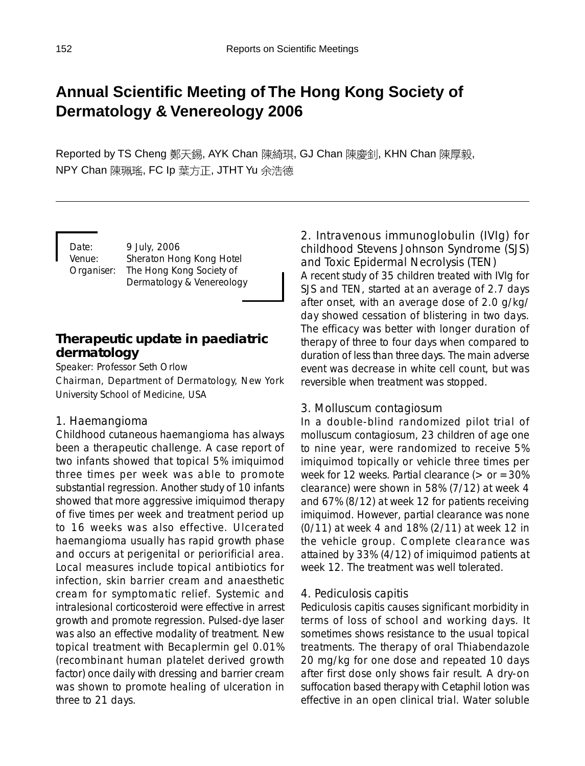# **Annual Scientific Meeting of The Hong Kong Society of Dermatology & Venereology 2006**

Reported by TS Cheng 鄭天錫, AYK Chan 陳綺琪, GJ Chan 陳慶釗, KHN Chan 陳厚毅, NPY Chan 陳珮瑤, FC Ip 葉方正, JTHT Yu 余浩德

Date: 9 July, 2006 Venue: Sheraton Hong Kong Hotel Organiser: The Hong Kong Society of Dermatology & Venereology

# **Therapeutic update in paediatric dermatology**

Speaker: Professor Seth Orlow

Chairman, Department of Dermatology, New York University School of Medicine, USA

### *1. Haemangioma*

Childhood cutaneous haemangioma has always been a therapeutic challenge. A case report of two infants showed that topical 5% imiquimod three times per week was able to promote substantial regression. Another study of 10 infants showed that more aggressive imiquimod therapy of five times per week and treatment period up to 16 weeks was also effective. Ulcerated haemangioma usually has rapid growth phase and occurs at perigenital or periorificial area. Local measures include topical antibiotics for infection, skin barrier cream and anaesthetic cream for symptomatic relief. Systemic and intralesional corticosteroid were effective in arrest growth and promote regression. Pulsed-dye laser was also an effective modality of treatment. New topical treatment with Becaplermin gel 0.01% (recombinant human platelet derived growth factor) once daily with dressing and barrier cream was shown to promote healing of ulceration in three to 21 days.

*2. Intravenous immunoglobulin (IVIg) for childhood Stevens Johnson Syndrome (SJS) and Toxic Epidermal Necrolysis (TEN)* A recent study of 35 children treated with IVIg for SJS and TEN, started at an average of 2.7 days after onset, with an average dose of 2.0 g/kg/ day showed cessation of blistering in two days. The efficacy was better with longer duration of therapy of three to four days when compared to duration of less than three days. The main adverse event was decrease in white cell count, but was reversible when treatment was stopped.

### *3. Molluscum contagiosum*

In a double-blind randomized pilot trial of molluscum contagiosum, 23 children of age one to nine year, were randomized to receive 5% imiquimod topically or vehicle three times per week for 12 weeks. Partial clearance ( $>$  or  $=$  30% clearance) were shown in 58% (7/12) at week 4 and 67% (8/12) at week 12 for patients receiving imiquimod. However, partial clearance was none (0/11) at week 4 and 18% (2/11) at week 12 in the vehicle group. Complete clearance was attained by 33% (4/12) of imiquimod patients at week 12. The treatment was well tolerated.

### *4. Pediculosis capitis*

Pediculosis capitis causes significant morbidity in terms of loss of school and working days. It sometimes shows resistance to the usual topical treatments. The therapy of oral Thiabendazole 20 mg/kg for one dose and repeated 10 days after first dose only shows fair result. A dry-on suffocation based therapy with Cetaphil lotion was effective in an open clinical trial. Water soluble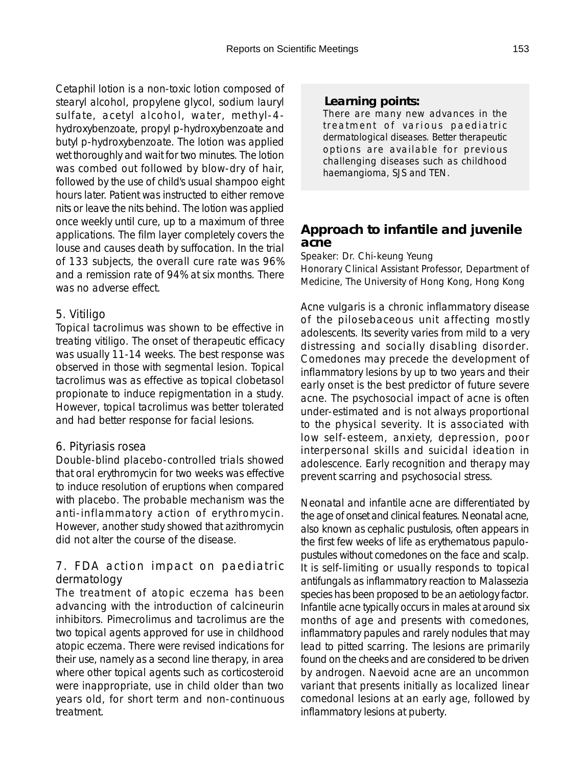Cetaphil lotion is a non-toxic lotion composed of stearyl alcohol, propylene glycol, sodium lauryl sulfate, acetyl alcohol, water, methyl-4 hydroxybenzoate, propyl p-hydroxybenzoate and butyl p-hydroxybenzoate. The lotion was applied wet thoroughly and wait for two minutes. The lotion was combed out followed by blow-dry of hair, followed by the use of child's usual shampoo eight hours later. Patient was instructed to either remove nits or leave the nits behind. The lotion was applied once weekly until cure, up to a maximum of three applications. The film layer completely covers the louse and causes death by suffocation. In the trial of 133 subjects, the overall cure rate was 96% and a remission rate of 94% at six months. There was no adverse effect.

### *5. Vitiligo*

Topical tacrolimus was shown to be effective in treating vitiligo. The onset of therapeutic efficacy was usually 11-14 weeks. The best response was observed in those with segmental lesion. Topical tacrolimus was as effective as topical clobetasol propionate to induce repigmentation in a study. However, topical tacrolimus was better tolerated and had better response for facial lesions.

# *6. Pityriasis rosea*

Double-blind placebo-controlled trials showed that oral erythromycin for two weeks was effective to induce resolution of eruptions when compared with placebo. The probable mechanism was the anti-inflammatory action of erythromycin. However, another study showed that azithromycin did not alter the course of the disease.

### *7. FDA action impact on paediatric dermatology*

The treatment of atopic eczema has been advancing with the introduction of calcineurin inhibitors. Pimecrolimus and tacrolimus are the two topical agents approved for use in childhood atopic eczema. There were revised indications for their use, namely as a second line therapy, in area where other topical agents such as corticosteroid were inappropriate, use in child older than two years old, for short term and non-continuous treatment.

# *Learning points:*

There are many new advances in the treatment of various paediatric dermatological diseases. Better therapeutic options are available for previous challenging diseases such as childhood haemangioma, SJS and TEN.

# **Approach to infantile and juvenile acne**

Speaker: Dr. Chi-keung Yeung

Honorary Clinical Assistant Professor, Department of Medicine, The University of Hong Kong, Hong Kong

Acne vulgaris is a chronic inflammatory disease of the pilosebaceous unit affecting mostly adolescents. Its severity varies from mild to a very distressing and socially disabling disorder. Comedones may precede the development of inflammatory lesions by up to two years and their early onset is the best predictor of future severe acne. The psychosocial impact of acne is often under-estimated and is not always proportional to the physical severity. It is associated with low self-esteem, anxiety, depression, poor interpersonal skills and suicidal ideation in adolescence. Early recognition and therapy may prevent scarring and psychosocial stress.

Neonatal and infantile acne are differentiated by the age of onset and clinical features. Neonatal acne, also known as cephalic pustulosis, often appears in the first few weeks of life as erythematous papulopustules without comedones on the face and scalp. It is self-limiting or usually responds to topical antifungals as inflammatory reaction to Malassezia species has been proposed to be an aetiology factor. Infantile acne typically occurs in males at around six months of age and presents with comedones, inflammatory papules and rarely nodules that may lead to pitted scarring. The lesions are primarily found on the cheeks and are considered to be driven by androgen. Naevoid acne are an uncommon variant that presents initially as localized linear comedonal lesions at an early age, followed by inflammatory lesions at puberty.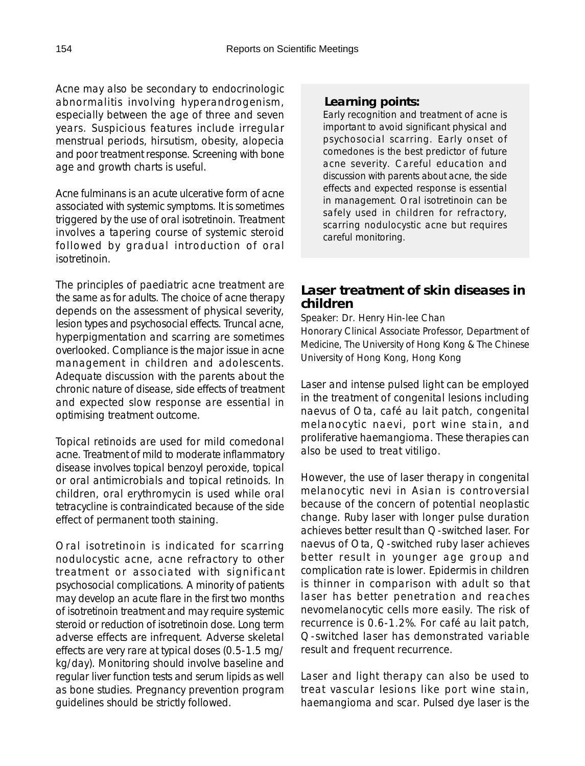Acne may also be secondary to endocrinologic abnormalitis involving hyperandrogenism, especially between the age of three and seven years. Suspicious features include irregular menstrual periods, hirsutism, obesity, alopecia and poor treatment response. Screening with bone age and growth charts is useful.

Acne fulminans is an acute ulcerative form of acne associated with systemic symptoms. It is sometimes triggered by the use of oral isotretinoin. Treatment involves a tapering course of systemic steroid followed by gradual introduction of oral isotretinoin.

The principles of paediatric acne treatment are the same as for adults. The choice of acne therapy depends on the assessment of physical severity, lesion types and psychosocial effects. Truncal acne, hyperpigmentation and scarring are sometimes overlooked. Compliance is the major issue in acne management in children and adolescents. Adequate discussion with the parents about the chronic nature of disease, side effects of treatment and expected slow response are essential in optimising treatment outcome.

Topical retinoids are used for mild comedonal acne. Treatment of mild to moderate inflammatory disease involves topical benzoyl peroxide, topical or oral antimicrobials and topical retinoids. In children, oral erythromycin is used while oral tetracycline is contraindicated because of the side effect of permanent tooth staining.

Oral isotretinoin is indicated for scarring nodulocystic acne, acne refractory to other treatment or associated with significant psychosocial complications. A minority of patients may develop an acute flare in the first two months of isotretinoin treatment and may require systemic steroid or reduction of isotretinoin dose. Long term adverse effects are infrequent. Adverse skeletal effects are very rare at typical doses (0.5-1.5 mg/ kg/day). Monitoring should involve baseline and regular liver function tests and serum lipids as well as bone studies. Pregnancy prevention program guidelines should be strictly followed.

### *Learning points:*

Early recognition and treatment of acne is important to avoid significant physical and psychosocial scarring. Early onset of comedones is the best predictor of future acne severity. Careful education and discussion with parents about acne, the side effects and expected response is essential in management. Oral isotretinoin can be safely used in children for refractory, scarring nodulocystic acne but requires careful monitoring.

# **Laser treatment of skin diseases in children**

Speaker: Dr. Henry Hin-lee Chan

Honorary Clinical Associate Professor, Department of Medicine, The University of Hong Kong & The Chinese University of Hong Kong, Hong Kong

Laser and intense pulsed light can be employed in the treatment of congenital lesions including naevus of Ota, café au lait patch, congenital melanocytic naevi, port wine stain, and proliferative haemangioma. These therapies can also be used to treat vitiligo.

However, the use of laser therapy in congenital melanocytic nevi in Asian is controversial because of the concern of potential neoplastic change. Ruby laser with longer pulse duration achieves better result than Q-switched laser. For naevus of Ota, Q-switched ruby laser achieves better result in younger age group and complication rate is lower. Epidermis in children is thinner in comparison with adult so that laser has better penetration and reaches nevomelanocytic cells more easily. The risk of recurrence is 0.6-1.2%. For café au lait patch, Q-switched laser has demonstrated variable result and frequent recurrence.

Laser and light therapy can also be used to treat vascular lesions like port wine stain, haemangioma and scar. Pulsed dye laser is the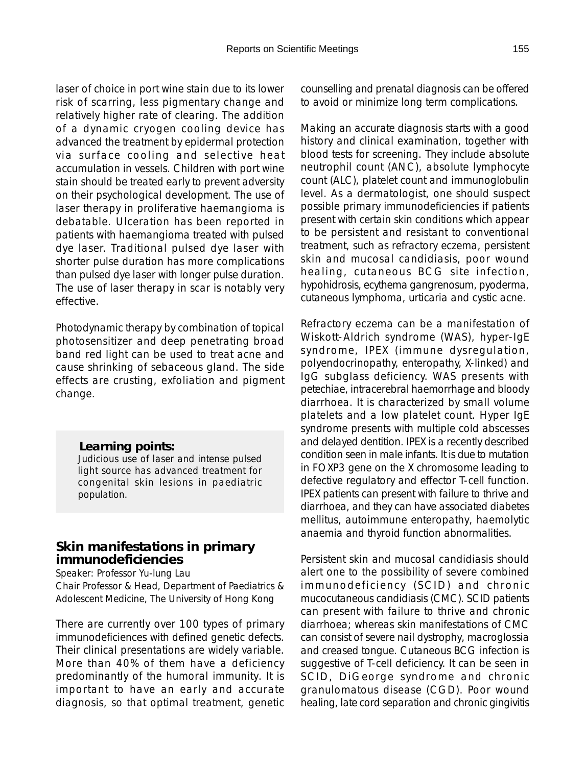laser of choice in port wine stain due to its lower risk of scarring, less pigmentary change and relatively higher rate of clearing. The addition of a dynamic cryogen cooling device has advanced the treatment by epidermal protection via surface cooling and selective heat accumulation in vessels. Children with port wine stain should be treated early to prevent adversity on their psychological development. The use of laser therapy in proliferative haemangioma is debatable. Ulceration has been reported in patients with haemangioma treated with pulsed dye laser. Traditional pulsed dye laser with shorter pulse duration has more complications than pulsed dye laser with longer pulse duration. The use of laser therapy in scar is notably very effective.

Photodynamic therapy by combination of topical photosensitizer and deep penetrating broad band red light can be used to treat acne and cause shrinking of sebaceous gland. The side effects are crusting, exfoliation and pigment change.

#### *Learning points:*

Judicious use of laser and intense pulsed light source has advanced treatment for congenital skin lesions in paediatric population.

### **Skin manifestations in primary immunodeficiencies**

Speaker: Professor Yu-lung Lau

Chair Professor & Head, Department of Paediatrics & Adolescent Medicine, The University of Hong Kong

There are currently over 100 types of primary immunodeficiences with defined genetic defects. Their clinical presentations are widely variable. More than 40% of them have a deficiency predominantly of the humoral immunity. It is important to have an early and accurate diagnosis, so that optimal treatment, genetic

counselling and prenatal diagnosis can be offered to avoid or minimize long term complications.

Making an accurate diagnosis starts with a good history and clinical examination, together with blood tests for screening. They include absolute neutrophil count (ANC), absolute lymphocyte count (ALC), platelet count and immunoglobulin level. As a dermatologist, one should suspect possible primary immunodeficiencies if patients present with certain skin conditions which appear to be persistent and resistant to conventional treatment, such as refractory eczema, persistent skin and mucosal candidiasis, poor wound healing, cutaneous BCG site infection, hypohidrosis, ecythema gangrenosum, pyoderma, cutaneous lymphoma, urticaria and cystic acne.

Refractory eczema can be a manifestation of Wiskott-Aldrich syndrome (WAS), hyper-IgE syndrome, IPEX (immune dysregulation, polyendocrinopathy, enteropathy, X-linked) and IgG subglass deficiency. WAS presents with petechiae, intracerebral haemorrhage and bloody diarrhoea. It is characterized by small volume platelets and a low platelet count. Hyper IgE syndrome presents with multiple cold abscesses and delayed dentition. IPEX is a recently described condition seen in male infants. It is due to mutation in FOXP3 gene on the X chromosome leading to defective regulatory and effector T-cell function. IPEX patients can present with failure to thrive and diarrhoea, and they can have associated diabetes mellitus, autoimmune enteropathy, haemolytic anaemia and thyroid function abnormalities.

Persistent skin and mucosal candidiasis should alert one to the possibility of severe combined immunodeficiency (SCID) and chronic mucocutaneous candidiasis (CMC). SCID patients can present with failure to thrive and chronic diarrhoea; whereas skin manifestations of CMC can consist of severe nail dystrophy, macroglossia and creased tongue. Cutaneous BCG infection is suggestive of T-cell deficiency. It can be seen in SCID, DiGeorge syndrome and chronic granulomatous disease (CGD). Poor wound healing, late cord separation and chronic gingivitis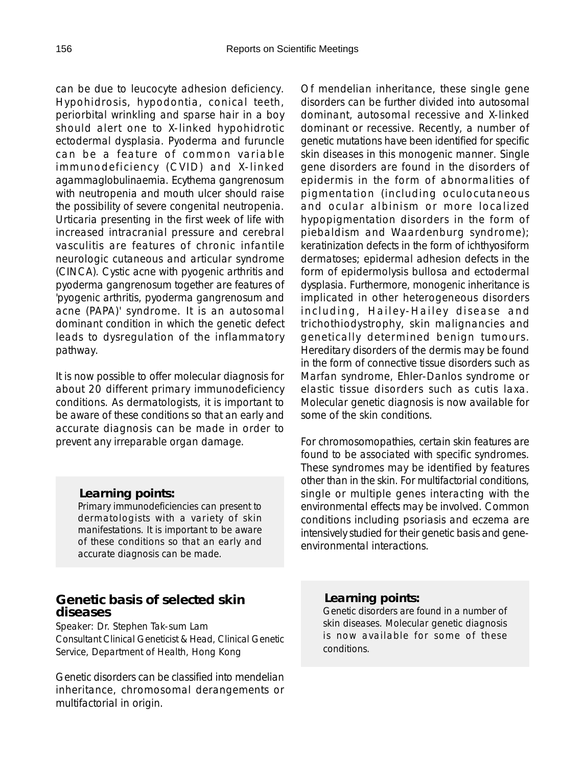can be due to leucocyte adhesion deficiency. Hypohidrosis, hypodontia, conical teeth, periorbital wrinkling and sparse hair in a boy should alert one to X-linked hypohidrotic ectodermal dysplasia. Pyoderma and furuncle can be a feature of common variable immunodeficiency (CVID) and X-linked agammaglobulinaemia. Ecythema gangrenosum with neutropenia and mouth ulcer should raise the possibility of severe congenital neutropenia. Urticaria presenting in the first week of life with increased intracranial pressure and cerebral vasculitis are features of chronic infantile neurologic cutaneous and articular syndrome (CINCA). Cystic acne with pyogenic arthritis and pyoderma gangrenosum together are features of 'pyogenic arthritis, pyoderma gangrenosum and acne (PAPA)' syndrome. It is an autosomal dominant condition in which the genetic defect leads to dysregulation of the inflammatory pathway.

It is now possible to offer molecular diagnosis for about 20 different primary immunodeficiency conditions. As dermatologists, it is important to be aware of these conditions so that an early and accurate diagnosis can be made in order to prevent any irreparable organ damage.

#### *Learning points:*

Primary immunodeficiencies can present to dermatologists with a variety of skin manifestations. It is important to be aware of these conditions so that an early and accurate diagnosis can be made.

# **Genetic basis of selected skin diseases**

Speaker: Dr. Stephen Tak-sum Lam Consultant Clinical Geneticist & Head, Clinical Genetic Service, Department of Health, Hong Kong

Genetic disorders can be classified into mendelian inheritance, chromosomal derangements or multifactorial in origin.

Of mendelian inheritance, these single gene disorders can be further divided into autosomal dominant, autosomal recessive and X-linked dominant or recessive. Recently, a number of genetic mutations have been identified for specific skin diseases in this monogenic manner. Single gene disorders are found in the disorders of epidermis in the form of abnormalities of pigmentation (including oculocutaneous and ocular albinism or more localized hypopigmentation disorders in the form of piebaldism and Waardenburg syndrome); keratinization defects in the form of ichthyosiform dermatoses; epidermal adhesion defects in the form of epidermolysis bullosa and ectodermal dysplasia. Furthermore, monogenic inheritance is implicated in other heterogeneous disorders including, Hailey-Hailey disease and trichothiodystrophy, skin malignancies and genetically determined benign tumours. Hereditary disorders of the dermis may be found in the form of connective tissue disorders such as Marfan syndrome, Ehler-Danlos syndrome or elastic tissue disorders such as cutis laxa. Molecular genetic diagnosis is now available for some of the skin conditions.

For chromosomopathies, certain skin features are found to be associated with specific syndromes. These syndromes may be identified by features other than in the skin. For multifactorial conditions, single or multiple genes interacting with the environmental effects may be involved. Common conditions including psoriasis and eczema are intensively studied for their genetic basis and geneenvironmental interactions.

### *Learning points:*

Genetic disorders are found in a number of skin diseases. Molecular genetic diagnosis is now available for some of these conditions.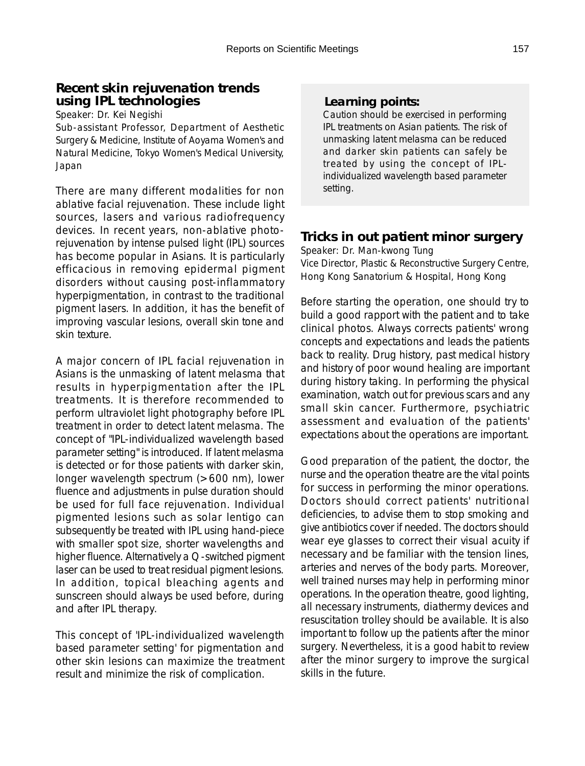# **Recent skin rejuvenation trends using IPL technologies**

Speaker: Dr. Kei Negishi

Sub-assistant Professor, Department of Aesthetic Surgery & Medicine, Institute of Aoyama Women's and Natural Medicine, Tokyo Women's Medical University, Japan

There are many different modalities for non ablative facial rejuvenation. These include light sources, lasers and various radiofrequency devices. In recent years, non-ablative photorejuvenation by intense pulsed light (IPL) sources has become popular in Asians. It is particularly efficacious in removing epidermal pigment disorders without causing post-inflammatory hyperpigmentation, in contrast to the traditional pigment lasers. In addition, it has the benefit of improving vascular lesions, overall skin tone and skin texture.

A major concern of IPL facial rejuvenation in Asians is the unmasking of latent melasma that results in hyperpigmentation after the IPL treatments. It is therefore recommended to perform ultraviolet light photography before IPL treatment in order to detect latent melasma. The concept of "IPL-individualized wavelength based parameter setting" is introduced. If latent melasma is detected or for those patients with darker skin, longer wavelength spectrum (>600 nm), lower fluence and adjustments in pulse duration should be used for full face rejuvenation. Individual pigmented lesions such as solar lentigo can subsequently be treated with IPL using hand-piece with smaller spot size, shorter wavelengths and higher fluence. Alternatively a Q-switched pigment laser can be used to treat residual pigment lesions. In addition, topical bleaching agents and sunscreen should always be used before, during and after IPL therapy.

This concept of 'IPL-individualized wavelength based parameter setting' for pigmentation and other skin lesions can maximize the treatment result and minimize the risk of complication.

### *Learning points:*

Caution should be exercised in performing IPL treatments on Asian patients. The risk of unmasking latent melasma can be reduced and darker skin patients can safely be treated by using the concept of IPLindividualized wavelength based parameter setting.

# **Tricks in out patient minor surgery**

Speaker: Dr. Man-kwong Tung Vice Director, Plastic & Reconstructive Surgery Centre, Hong Kong Sanatorium & Hospital, Hong Kong

Before starting the operation, one should try to build a good rapport with the patient and to take clinical photos. Always corrects patients' wrong concepts and expectations and leads the patients back to reality. Drug history, past medical history and history of poor wound healing are important during history taking. In performing the physical examination, watch out for previous scars and any small skin cancer. Furthermore, psychiatric assessment and evaluation of the patients' expectations about the operations are important.

Good preparation of the patient, the doctor, the nurse and the operation theatre are the vital points for success in performing the minor operations. Doctors should correct patients' nutritional deficiencies, to advise them to stop smoking and give antibiotics cover if needed. The doctors should wear eye glasses to correct their visual acuity if necessary and be familiar with the tension lines, arteries and nerves of the body parts. Moreover, well trained nurses may help in performing minor operations. In the operation theatre, good lighting, all necessary instruments, diathermy devices and resuscitation trolley should be available. It is also important to follow up the patients after the minor surgery. Nevertheless, it is a good habit to review after the minor surgery to improve the surgical skills in the future.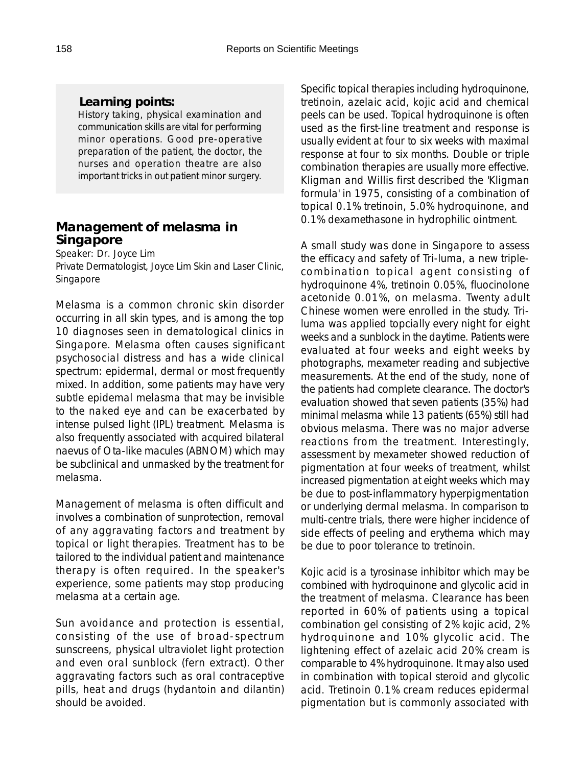### *Learning points:*

History taking, physical examination and communication skills are vital for performing minor operations. Good pre-operative preparation of the patient, the doctor, the nurses and operation theatre are also important tricks in out patient minor surgery.

## **Management of melasma in Singapore**

Speaker: Dr. Joyce Lim Private Dermatologist, Joyce Lim Skin and Laser Clinic, Singapore

Melasma is a common chronic skin disorder occurring in all skin types, and is among the top 10 diagnoses seen in dematological clinics in Singapore. Melasma often causes significant psychosocial distress and has a wide clinical spectrum: epidermal, dermal or most frequently mixed. In addition, some patients may have very subtle epidemal melasma that may be invisible to the naked eye and can be exacerbated by intense pulsed light (IPL) treatment. Melasma is also frequently associated with acquired bilateral naevus of Ota-like macules (ABNOM) which may be subclinical and unmasked by the treatment for melasma.

Management of melasma is often difficult and involves a combination of sunprotection, removal of any aggravating factors and treatment by topical or light therapies. Treatment has to be tailored to the individual patient and maintenance therapy is often required. In the speaker's experience, some patients may stop producing melasma at a certain age.

Sun avoidance and protection is essential, consisting of the use of broad-spectrum sunscreens, physical ultraviolet light protection and even oral sunblock (fern extract). Other aggravating factors such as oral contraceptive pills, heat and drugs (hydantoin and dilantin) should be avoided.

Specific topical therapies including hydroquinone, tretinoin, azelaic acid, kojic acid and chemical peels can be used. Topical hydroquinone is often used as the first-line treatment and response is usually evident at four to six weeks with maximal response at four to six months. Double or triple combination therapies are usually more effective. Kligman and Willis first described the 'Kligman formula' in 1975, consisting of a combination of topical 0.1% tretinoin, 5.0% hydroquinone, and 0.1% dexamethasone in hydrophilic ointment.

A small study was done in Singapore to assess the efficacy and safety of Tri-luma, a new triplecombination topical agent consisting of hydroquinone 4%, tretinoin 0.05%, fluocinolone acetonide 0.01%, on melasma. Twenty adult Chinese women were enrolled in the study. Triluma was applied topcially every night for eight weeks and a sunblock in the daytime. Patients were evaluated at four weeks and eight weeks by photographs, mexameter reading and subjective measurements. At the end of the study, none of the patients had complete clearance. The doctor's evaluation showed that seven patients (35%) had minimal melasma while 13 patients (65%) still had obvious melasma. There was no major adverse reactions from the treatment. Interestingly, assessment by mexameter showed reduction of pigmentation at four weeks of treatment, whilst increased pigmentation at eight weeks which may be due to post-inflammatory hyperpigmentation or underlying dermal melasma. In comparison to multi-centre trials, there were higher incidence of side effects of peeling and erythema which may be due to poor tolerance to tretinoin.

Kojic acid is a tyrosinase inhibitor which may be combined with hydroquinone and glycolic acid in the treatment of melasma. Clearance has been reported in 60% of patients using a topical combination gel consisting of 2% kojic acid, 2% hydroquinone and 10% glycolic acid. The lightening effect of azelaic acid 20% cream is comparable to 4% hydroquinone. It may also used in combination with topical steroid and glycolic acid. Tretinoin 0.1% cream reduces epidermal pigmentation but is commonly associated with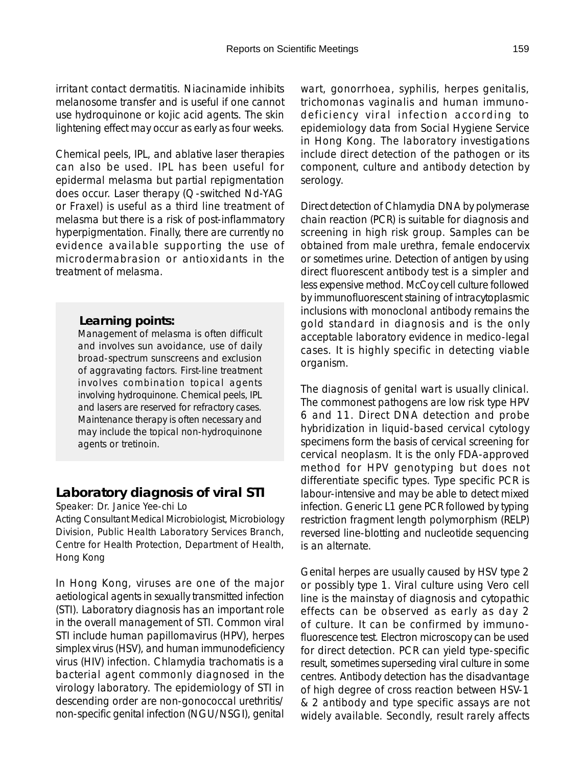irritant contact dermatitis. Niacinamide inhibits melanosome transfer and is useful if one cannot use hydroquinone or kojic acid agents. The skin lightening effect may occur as early as four weeks.

Chemical peels, IPL, and ablative laser therapies can also be used. IPL has been useful for epidermal melasma but partial repigmentation does occur. Laser therapy (Q-switched Nd-YAG or Fraxel) is useful as a third line treatment of melasma but there is a risk of post-inflammatory hyperpigmentation. Finally, there are currently no evidence available supporting the use of microdermabrasion or antioxidants in the treatment of melasma.

#### *Learning points:*

Management of melasma is often difficult and involves sun avoidance, use of daily broad-spectrum sunscreens and exclusion of aggravating factors. First-line treatment involves combination topical agents involving hydroquinone. Chemical peels, IPL and lasers are reserved for refractory cases. Maintenance therapy is often necessary and may include the topical non-hydroquinone agents or tretinoin.

# **Laboratory diagnosis of viral STI**

Speaker: Dr. Janice Yee-chi Lo

Acting Consultant Medical Microbiologist, Microbiology Division, Public Health Laboratory Services Branch, Centre for Health Protection, Department of Health, Hong Kong

In Hong Kong, viruses are one of the major aetiological agents in sexually transmitted infection (STI). Laboratory diagnosis has an important role in the overall management of STI. Common viral STI include human papillomavirus (HPV), herpes simplex virus (HSV), and human immunodeficiency virus (HIV) infection. Chlamydia trachomatis is a bacterial agent commonly diagnosed in the virology laboratory. The epidemiology of STI in descending order are non-gonococcal urethritis/ non-specific genital infection (NGU/NSGI), genital

wart, gonorrhoea, syphilis, herpes genitalis, trichomonas vaginalis and human immunodeficiency viral infection according to epidemiology data from Social Hygiene Service in Hong Kong. The laboratory investigations include direct detection of the pathogen or its component, culture and antibody detection by serology.

Direct detection of Chlamydia DNA by polymerase chain reaction (PCR) is suitable for diagnosis and screening in high risk group. Samples can be obtained from male urethra, female endocervix or sometimes urine. Detection of antigen by using direct fluorescent antibody test is a simpler and less expensive method. McCoy cell culture followed by immunofluorescent staining of intracytoplasmic inclusions with monoclonal antibody remains the gold standard in diagnosis and is the only acceptable laboratory evidence in medico-legal cases. It is highly specific in detecting viable organism.

The diagnosis of genital wart is usually clinical. The commonest pathogens are low risk type HPV 6 and 11. Direct DNA detection and probe hybridization in liquid-based cervical cytology specimens form the basis of cervical screening for cervical neoplasm. It is the only FDA-approved method for HPV genotyping but does not differentiate specific types. Type specific PCR is labour-intensive and may be able to detect mixed infection. Generic L1 gene PCR followed by typing restriction fragment length polymorphism (RELP) reversed line-blotting and nucleotide sequencing is an alternate.

Genital herpes are usually caused by HSV type 2 or possibly type 1. Viral culture using Vero cell line is the mainstay of diagnosis and cytopathic effects can be observed as early as day 2 of culture. It can be confirmed by immunofluorescence test. Electron microscopy can be used for direct detection. PCR can yield type-specific result, sometimes superseding viral culture in some centres. Antibody detection has the disadvantage of high degree of cross reaction between HSV-1 & 2 antibody and type specific assays are not widely available. Secondly, result rarely affects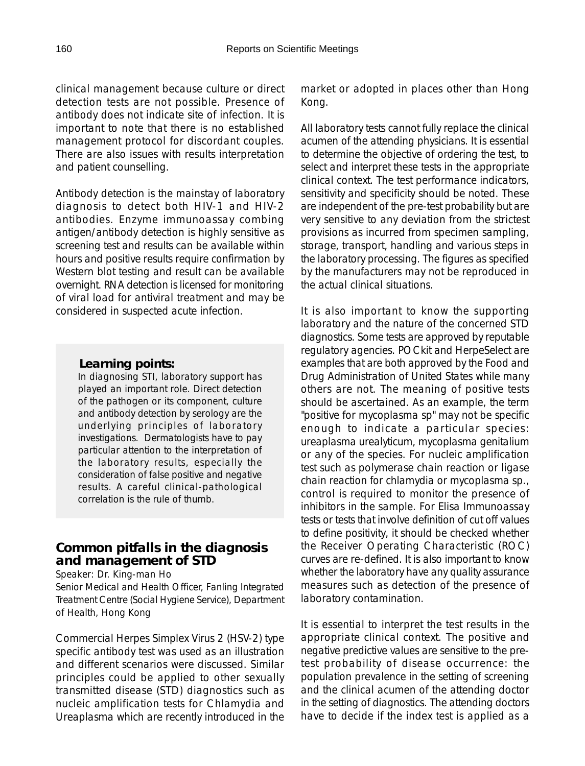clinical management because culture or direct detection tests are not possible. Presence of antibody does not indicate site of infection. It is important to note that there is no established management protocol for discordant couples. There are also issues with results interpretation and patient counselling.

Antibody detection is the mainstay of laboratory diagnosis to detect both HIV-1 and HIV-2 antibodies. Enzyme immunoassay combing antigen/antibody detection is highly sensitive as screening test and results can be available within hours and positive results require confirmation by Western blot testing and result can be available overnight. RNA detection is licensed for monitoring of viral load for antiviral treatment and may be considered in suspected acute infection.

#### *Learning points:*

In diagnosing STI, laboratory support has played an important role. Direct detection of the pathogen or its component, culture and antibody detection by serology are the underlying principles of laboratory investigations. Dermatologists have to pay particular attention to the interpretation of the laboratory results, especially the consideration of false positive and negative results. A careful clinical-pathological correlation is the rule of thumb.

# **Common pitfalls in the diagnosis and management of STD**

Speaker: Dr. King-man Ho

Senior Medical and Health Officer, Fanling Integrated Treatment Centre (Social Hygiene Service), Department of Health, Hong Kong

Commercial Herpes Simplex Virus 2 (HSV-2) type specific antibody test was used as an illustration and different scenarios were discussed. Similar principles could be applied to other sexually transmitted disease (STD) diagnostics such as nucleic amplification tests for Chlamydia and Ureaplasma which are recently introduced in the market or adopted in places other than Hong Kong.

All laboratory tests cannot fully replace the clinical acumen of the attending physicians. It is essential to determine the objective of ordering the test, to select and interpret these tests in the appropriate clinical context. The test performance indicators, sensitivity and specificity should be noted. These are independent of the pre-test probability but are very sensitive to any deviation from the strictest provisions as incurred from specimen sampling, storage, transport, handling and various steps in the laboratory processing. The figures as specified by the manufacturers may not be reproduced in the actual clinical situations.

It is also important to know the supporting laboratory and the nature of the concerned STD diagnostics. Some tests are approved by reputable regulatory agencies. POCkit and HerpeSelect are examples that are both approved by the Food and Drug Administration of United States while many others are not. The meaning of positive tests should be ascertained. As an example, the term "positive for mycoplasma sp" may not be specific enough to indicate a particular species: ureaplasma urealyticum, mycoplasma genitalium or any of the species. For nucleic amplification test such as polymerase chain reaction or ligase chain reaction for chlamydia or mycoplasma sp., control is required to monitor the presence of inhibitors in the sample. For Elisa Immunoassay tests or tests that involve definition of cut off values to define positivity, it should be checked whether the Receiver Operating Characteristic (ROC) curves are re-defined. It is also important to know whether the laboratory have any quality assurance measures such as detection of the presence of laboratory contamination.

It is essential to interpret the test results in the appropriate clinical context. The positive and negative predictive values are sensitive to the pretest probability of disease occurrence: the population prevalence in the setting of screening and the clinical acumen of the attending doctor in the setting of diagnostics. The attending doctors have to decide if the index test is applied as a